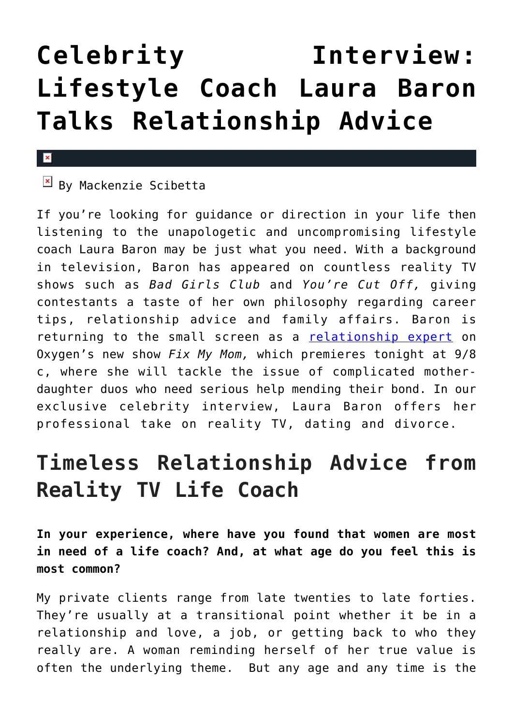## **[Celebrity Interview:](https://cupidspulse.com/100938/celebrity-interview-laura-baron-relationship-advice/) [Lifestyle Coach Laura Baron](https://cupidspulse.com/100938/celebrity-interview-laura-baron-relationship-advice/) [Talks Relationship Advice](https://cupidspulse.com/100938/celebrity-interview-laura-baron-relationship-advice/)**

## $\mathbf{x}$

## $\overline{\mathbb{F}}$  By Mackenzie Scibetta

If you're looking for guidance or direction in your life then listening to the unapologetic and uncompromising lifestyle coach Laura Baron may be just what you need. With a background in television, Baron has appeared on countless reality TV shows such as *Bad Girls Club* and *You're Cut Off,* giving contestants a taste of her own philosophy regarding career tips, relationship advice and family affairs. Baron is returning to the small screen as a [relationship expert](http://cupidspulse.com/relationship-experts/) on Oxygen's new show *Fix My Mom,* which premieres tonight at 9/8 c, where she will tackle the issue of complicated motherdaughter duos who need serious help mending their bond. In our exclusive celebrity interview, Laura Baron offers her professional take on reality TV, dating and divorce.

## **Timeless Relationship Advice from Reality TV Life Coach**

**In your experience, where have you found that women are most in need of a life coach? And, at what age do you feel this is most common?**

My private clients range from late twenties to late forties. They're usually at a transitional point whether it be in a relationship and love, a job, or getting back to who they really are. A woman reminding herself of her true value is often the underlying theme. But any age and any time is the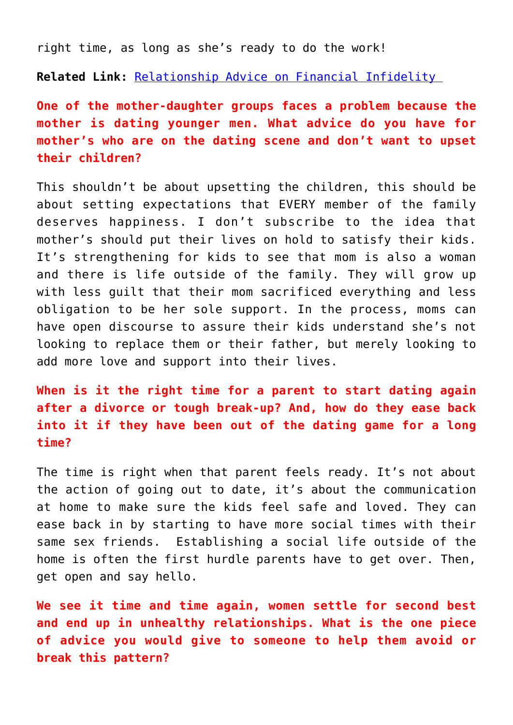right time, as long as she's ready to do the work!

**Related Link:** [Relationship Advice on Financial Infidelity](http://cupidspulse.com/100647/relationship-advice-financial-infidelity/) 

**One of the mother-daughter groups faces a problem because the mother is dating younger men. What advice do you have for mother's who are on the dating scene and don't want to upset their children?**

This shouldn't be about upsetting the children, this should be about setting expectations that EVERY member of the family deserves happiness. I don't subscribe to the idea that mother's should put their lives on hold to satisfy their kids. It's strengthening for kids to see that mom is also a woman and there is life outside of the family. They will grow up with less guilt that their mom sacrificed everything and less obligation to be her sole support. In the process, moms can have open discourse to assure their kids understand she's not looking to replace them or their father, but merely looking to add more love and support into their lives.

**When is it the right time for a parent to start dating again after a divorce or tough break-up? And, how do they ease back into it if they have been out of the dating game for a long time?**

The time is right when that parent feels ready. It's not about the action of going out to date, it's about the communication at home to make sure the kids feel safe and loved. They can ease back in by starting to have more social times with their same sex friends. Establishing a social life outside of the home is often the first hurdle parents have to get over. Then, get open and say hello.

**We see it time and time again, women settle for second best and end up in unhealthy relationships. What is the one piece of advice you would give to someone to help them avoid or break this pattern?**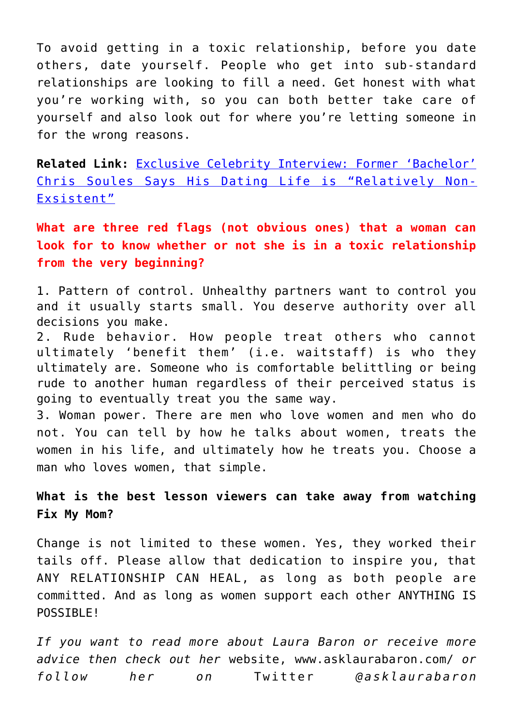To avoid getting in a toxic relationship, before you date others, date yourself. People who get into sub-standard relationships are looking to fill a need. Get honest with what you're working with, so you can both better take care of yourself and also look out for where you're letting someone in for the wrong reasons.

**Related Link:** [Exclusive Celebrity Interview: Former 'Bachelor'](http://cupidspulse.com/100478/exclusive-celebrity-interview-the-bachelor-chris-soules/) [Chris Soules Says His Dating Life is "Relatively Non-](http://cupidspulse.com/100478/exclusive-celebrity-interview-the-bachelor-chris-soules/)[Exsistent"](http://cupidspulse.com/100478/exclusive-celebrity-interview-the-bachelor-chris-soules/)

**What are three red flags (not obvious ones) that a woman can look for to know whether or not she is in a toxic relationship from the very beginning?**

1. Pattern of control. Unhealthy partners want to control you and it usually starts small. You deserve authority over all decisions you make.

2. Rude behavior. How people treat others who cannot ultimately 'benefit them' (i.e. waitstaff) is who they ultimately are. Someone who is comfortable belittling or being rude to another human regardless of their perceived status is going to eventually treat you the same way.

3. Woman power. There are men who love women and men who do not. You can tell by how he talks about women, treats the women in his life, and ultimately how he treats you. Choose a man who loves women, that simple.

**What is the best lesson viewers can take away from watching Fix My Mom?**

Change is not limited to these women. Yes, they worked their tails off. Please allow that dedication to inspire you, that ANY RELATIONSHIP CAN HEAL, as long as both people are committed. And as long as women support each other ANYTHING IS POSSIBLE!

*If you want to read more about Laura Baron or receive more advice then check out her* website, www.asklaurabaron.com/ *or follow her on* Twitter *@asklaurabaron*